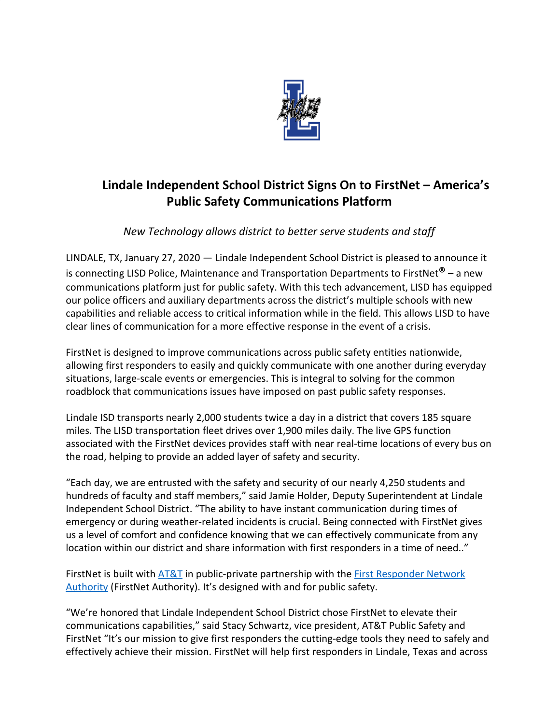

## **Lindale Independent School District Signs On to FirstNet – America's Public Safety Communications Platform**

*New Technology allows district to better serve students and staff*

LINDALE, TX, January 27, 2020 — Lindale Independent School District is pleased to announce it is connecting LISD Police, Maintenance and Transportation Departments to FirstNet**®** – a new communications platform just for public safety. With this tech advancement, LISD has equipped our police officers and auxiliary departments across the district's multiple schools with new capabilities and reliable access to critical information while in the field. This allows LISD to have clear lines of communication for a more effective response in the event of a crisis.

FirstNet is designed to improve communications across public safety entities nationwide, allowing first responders to easily and quickly communicate with one another during everyday situations, large-scale events or emergencies. This is integral to solving for the common roadblock that communications issues have imposed on past public safety responses.

Lindale ISD transports nearly 2,000 students twice a day in a district that covers 185 square miles. The LISD transportation fleet drives over 1,900 miles daily. The live GPS function associated with the FirstNet devices provides staff with near real-time locations of every bus on the road, helping to provide an added layer of safety and security.

"Each day, we are entrusted with the safety and security of our nearly 4,250 students and hundreds of faculty and staff members," said Jamie Holder, Deputy Superintendent at Lindale Independent School District. "The ability to have instant communication during times of emergency or during weather-related incidents is crucial. Being connected with FirstNet gives us a level of comfort and confidence knowing that we can effectively communicate from any location within our district and share information with first responders in a time of need.."

FirstNet is built with [AT&T](http://www.att.com/aboutus) in public-private partnership with the [First Responder Network](http://www.firstnet.gov/) [Authority](http://www.firstnet.gov/) (FirstNet Authority). It's designed with and for public safety.

"We're honored that Lindale Independent School District chose FirstNet to elevate their communications capabilities," said Stacy Schwartz, vice president, AT&T Public Safety and FirstNet "It's our mission to give first responders the cutting-edge tools they need to safely and effectively achieve their mission. FirstNet will help first responders in Lindale, Texas and across